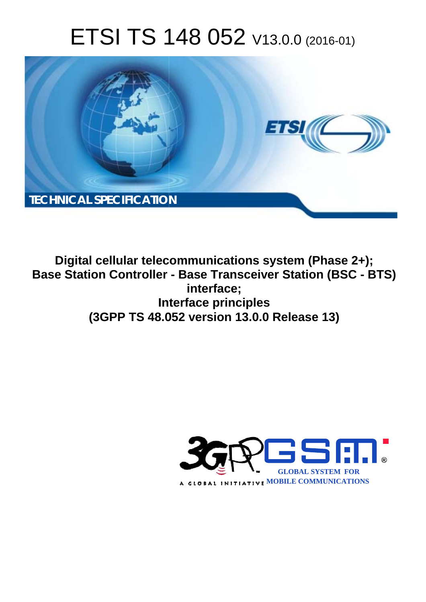# ETSI TS 148 052 V13.0.0 (2016-01)



**Digital cellular telecommunications system (Phase 2+); Base Station Controller - Base Transceiver Station (BSC - BTS) Int Interface principles (3GPP TS 48.0 .052 version 13.0.0 Release 13 13) interface;** 

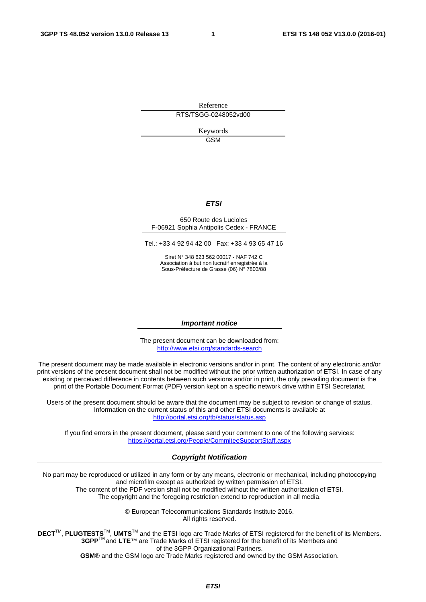Reference RTS/TSGG-0248052vd00

> Keywords GSM

#### *ETSI*

#### 650 Route des Lucioles F-06921 Sophia Antipolis Cedex - FRANCE

Tel.: +33 4 92 94 42 00 Fax: +33 4 93 65 47 16

Siret N° 348 623 562 00017 - NAF 742 C Association à but non lucratif enregistrée à la Sous-Préfecture de Grasse (06) N° 7803/88

#### *Important notice*

The present document can be downloaded from: <http://www.etsi.org/standards-search>

The present document may be made available in electronic versions and/or in print. The content of any electronic and/or print versions of the present document shall not be modified without the prior written authorization of ETSI. In case of any existing or perceived difference in contents between such versions and/or in print, the only prevailing document is the print of the Portable Document Format (PDF) version kept on a specific network drive within ETSI Secretariat.

Users of the present document should be aware that the document may be subject to revision or change of status. Information on the current status of this and other ETSI documents is available at <http://portal.etsi.org/tb/status/status.asp>

If you find errors in the present document, please send your comment to one of the following services: <https://portal.etsi.org/People/CommiteeSupportStaff.aspx>

#### *Copyright Notification*

No part may be reproduced or utilized in any form or by any means, electronic or mechanical, including photocopying and microfilm except as authorized by written permission of ETSI.

The content of the PDF version shall not be modified without the written authorization of ETSI. The copyright and the foregoing restriction extend to reproduction in all media.

> © European Telecommunications Standards Institute 2016. All rights reserved.

**DECT**TM, **PLUGTESTS**TM, **UMTS**TM and the ETSI logo are Trade Marks of ETSI registered for the benefit of its Members. **3GPP**TM and **LTE**™ are Trade Marks of ETSI registered for the benefit of its Members and of the 3GPP Organizational Partners.

**GSM**® and the GSM logo are Trade Marks registered and owned by the GSM Association.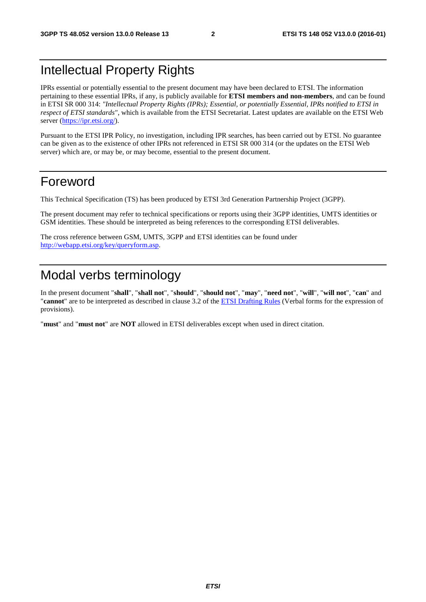### Intellectual Property Rights

IPRs essential or potentially essential to the present document may have been declared to ETSI. The information pertaining to these essential IPRs, if any, is publicly available for **ETSI members and non-members**, and can be found in ETSI SR 000 314: *"Intellectual Property Rights (IPRs); Essential, or potentially Essential, IPRs notified to ETSI in respect of ETSI standards"*, which is available from the ETSI Secretariat. Latest updates are available on the ETSI Web server [\(https://ipr.etsi.org/](https://ipr.etsi.org/)).

Pursuant to the ETSI IPR Policy, no investigation, including IPR searches, has been carried out by ETSI. No guarantee can be given as to the existence of other IPRs not referenced in ETSI SR 000 314 (or the updates on the ETSI Web server) which are, or may be, or may become, essential to the present document.

### Foreword

This Technical Specification (TS) has been produced by ETSI 3rd Generation Partnership Project (3GPP).

The present document may refer to technical specifications or reports using their 3GPP identities, UMTS identities or GSM identities. These should be interpreted as being references to the corresponding ETSI deliverables.

The cross reference between GSM, UMTS, 3GPP and ETSI identities can be found under [http://webapp.etsi.org/key/queryform.asp.](http://webapp.etsi.org/key/queryform.asp)

### Modal verbs terminology

In the present document "**shall**", "**shall not**", "**should**", "**should not**", "**may**", "**need not**", "**will**", "**will not**", "**can**" and "**cannot**" are to be interpreted as described in clause 3.2 of the [ETSI Drafting Rules](http://portal.etsi.org/Help/editHelp!/Howtostart/ETSIDraftingRules.aspx) (Verbal forms for the expression of provisions).

"**must**" and "**must not**" are **NOT** allowed in ETSI deliverables except when used in direct citation.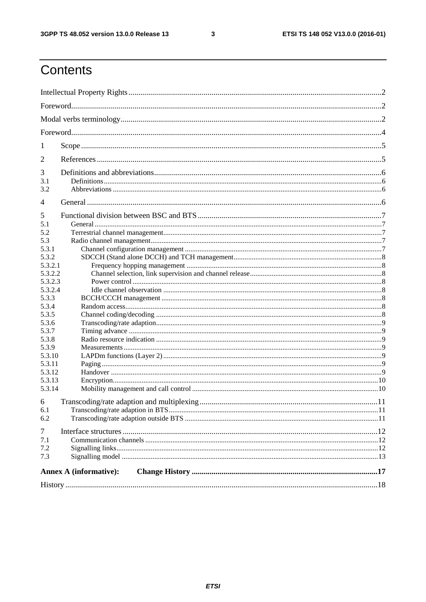$\mathbf{3}$ 

### Contents

| $\perp$          |                               |  |  |  |
|------------------|-------------------------------|--|--|--|
| 2                |                               |  |  |  |
| 3                |                               |  |  |  |
| 3.1              |                               |  |  |  |
| 3.2              |                               |  |  |  |
| 4                |                               |  |  |  |
| 5                |                               |  |  |  |
| 5.1              |                               |  |  |  |
| 5.2              |                               |  |  |  |
| 5.3              |                               |  |  |  |
| 5.3.1            |                               |  |  |  |
| 5.3.2            |                               |  |  |  |
| 5.3.2.1          |                               |  |  |  |
| 5.3.2.2          |                               |  |  |  |
| 5.3.2.3          |                               |  |  |  |
| 5.3.2.4<br>5.3.3 |                               |  |  |  |
| 5.3.4            |                               |  |  |  |
| 5.3.5            |                               |  |  |  |
| 5.3.6            |                               |  |  |  |
| 5.3.7            |                               |  |  |  |
| 5.3.8            |                               |  |  |  |
| 5.3.9            |                               |  |  |  |
| 5.3.10           |                               |  |  |  |
| 5.3.11           |                               |  |  |  |
| 5.3.12           |                               |  |  |  |
| 5.3.13           |                               |  |  |  |
| 5.3.14           |                               |  |  |  |
| 6                |                               |  |  |  |
| 6.1              |                               |  |  |  |
| 6.2              |                               |  |  |  |
| $\tau$           |                               |  |  |  |
| 7.1              |                               |  |  |  |
| 7.2              |                               |  |  |  |
| 7.3              |                               |  |  |  |
|                  | <b>Annex A (informative):</b> |  |  |  |
|                  |                               |  |  |  |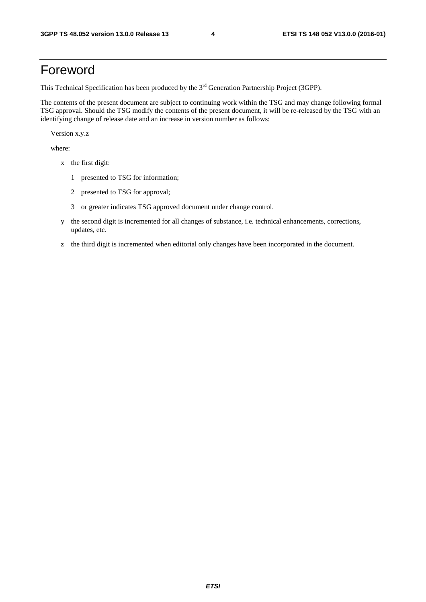### Foreword

This Technical Specification has been produced by the 3<sup>rd</sup> Generation Partnership Project (3GPP).

The contents of the present document are subject to continuing work within the TSG and may change following formal TSG approval. Should the TSG modify the contents of the present document, it will be re-released by the TSG with an identifying change of release date and an increase in version number as follows:

Version x.y.z

where:

- x the first digit:
	- 1 presented to TSG for information;
	- 2 presented to TSG for approval;
	- 3 or greater indicates TSG approved document under change control.
- y the second digit is incremented for all changes of substance, i.e. technical enhancements, corrections, updates, etc.
- z the third digit is incremented when editorial only changes have been incorporated in the document.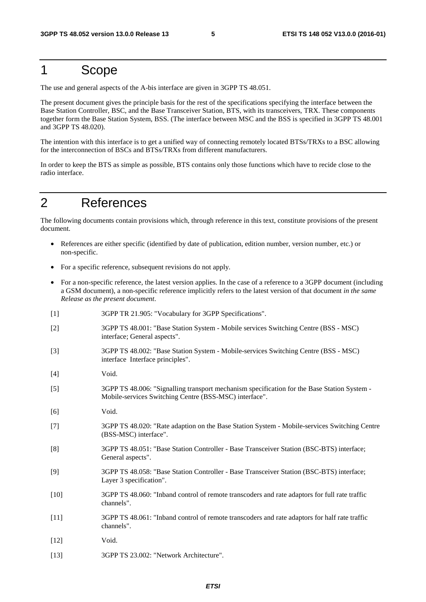### 1 Scope

The use and general aspects of the A-bis interface are given in 3GPP TS 48.051.

The present document gives the principle basis for the rest of the specifications specifying the interface between the Base Station Controller, BSC, and the Base Transceiver Station, BTS, with its transceivers, TRX. These components together form the Base Station System, BSS. (The interface between MSC and the BSS is specified in 3GPP TS 48.001 and 3GPP TS 48.020).

The intention with this interface is to get a unified way of connecting remotely located BTSs/TRXs to a BSC allowing for the interconnection of BSCs and BTSs/TRXs from different manufacturers.

In order to keep the BTS as simple as possible, BTS contains only those functions which have to recide close to the radio interface.

### 2 References

The following documents contain provisions which, through reference in this text, constitute provisions of the present document.

- References are either specific (identified by date of publication, edition number, version number, etc.) or non-specific.
- For a specific reference, subsequent revisions do not apply.
- For a non-specific reference, the latest version applies. In the case of a reference to a 3GPP document (including a GSM document), a non-specific reference implicitly refers to the latest version of that document *in the same Release as the present document*.
- [1] 3GPP TR 21.905: "Vocabulary for 3GPP Specifications". [2] 3GPP TS 48.001: "Base Station System - Mobile services Switching Centre (BSS - MSC) interface; General aspects".
- [3] 3GPP TS 48.002: "Base Station System Mobile-services Switching Centre (BSS MSC) interface Interface principles".
- [4] Void.
- [5] 3GPP TS 48.006: "Signalling transport mechanism specification for the Base Station System Mobile-services Switching Centre (BSS-MSC) interface".
- [6] Void.
- [7] 3GPP TS 48.020: "Rate adaption on the Base Station System Mobile-services Switching Centre (BSS-MSC) interface".
- [8] 3GPP TS 48.051: "Base Station Controller Base Transceiver Station (BSC-BTS) interface; General aspects".
- [9] 3GPP TS 48.058: "Base Station Controller Base Transceiver Station (BSC-BTS) interface; Layer 3 specification".
- [10] 3GPP TS 48.060: "Inband control of remote transcoders and rate adaptors for full rate traffic channels".
- [11] 3GPP TS 48.061: "Inband control of remote transcoders and rate adaptors for half rate traffic channels".
- [12] **Void.**
- [13] 3GPP TS 23.002: "Network Architecture".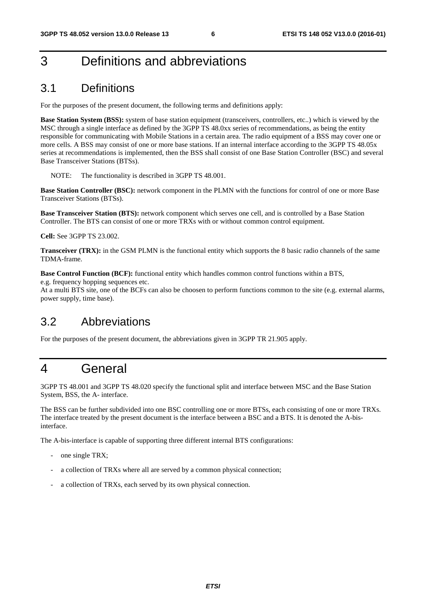### 3 Definitions and abbreviations

#### 3.1 Definitions

For the purposes of the present document, the following terms and definitions apply:

**Base Station System (BSS):** system of base station equipment (transceivers, controllers, etc..) which is viewed by the MSC through a single interface as defined by the 3GPP TS 48.0xx series of recommendations, as being the entity responsible for communicating with Mobile Stations in a certain area. The radio equipment of a BSS may cover one or more cells. A BSS may consist of one or more base stations. If an internal interface according to the 3GPP TS 48.05x series at recommendations is implemented, then the BSS shall consist of one Base Station Controller (BSC) and several Base Transceiver Stations (BTSs).

NOTE: The functionality is described in 3GPP TS 48.001.

**Base Station Controller (BSC):** network component in the PLMN with the functions for control of one or more Base Transceiver Stations (BTSs).

**Base Transceiver Station (BTS):** network component which serves one cell, and is controlled by a Base Station Controller. The BTS can consist of one or more TRXs with or without common control equipment.

**Cell:** See 3GPP TS 23.002.

**Transceiver (TRX):** in the GSM PLMN is the functional entity which supports the 8 basic radio channels of the same TDMA-frame.

**Base Control Function (BCF):** functional entity which handles common control functions within a BTS, e.g. frequency hopping sequences etc.

At a multi BTS site, one of the BCFs can also be choosen to perform functions common to the site (e.g. external alarms, power supply, time base).

#### 3.2 Abbreviations

For the purposes of the present document, the abbreviations given in 3GPP TR 21.905 apply.

### 4 General

3GPP TS 48.001 and 3GPP TS 48.020 specify the functional split and interface between MSC and the Base Station System, BSS, the A- interface.

The BSS can be further subdivided into one BSC controlling one or more BTSs, each consisting of one or more TRXs. The interface treated by the present document is the interface between a BSC and a BTS. It is denoted the A-bisinterface.

The A-bis-interface is capable of supporting three different internal BTS configurations:

- one single TRX;
- a collection of TRXs where all are served by a common physical connection;
- a collection of TRXs, each served by its own physical connection.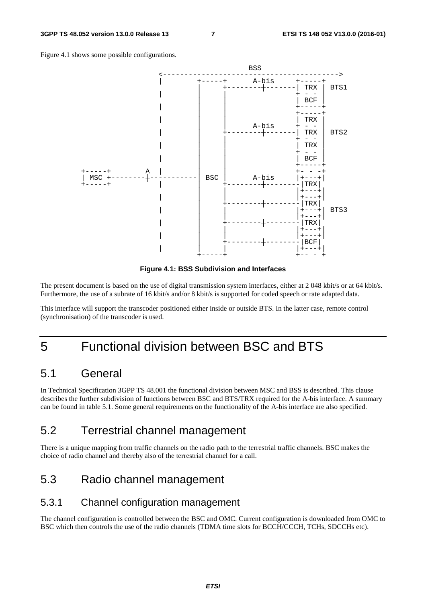Figure 4.1 shows some possible configurations.



**Figure 4.1: BSS Subdivision and Interfaces** 

The present document is based on the use of digital transmission system interfaces, either at 2 048 kbit/s or at 64 kbit/s. Furthermore, the use of a subrate of 16 kbit/s and/or 8 kbit/s is supported for coded speech or rate adapted data.

This interface will support the transcoder positioned either inside or outside BTS. In the latter case, remote control (synchronisation) of the transcoder is used.

### 5 Functional division between BSC and BTS

#### 5.1 General

In Technical Specification 3GPP TS 48.001 the functional division between MSC and BSS is described. This clause describes the further subdivision of functions between BSC and BTS/TRX required for the A-bis interface. A summary can be found in table 5.1. Some general requirements on the functionality of the A-bis interface are also specified.

#### 5.2 Terrestrial channel management

There is a unique mapping from traffic channels on the radio path to the terrestrial traffic channels. BSC makes the choice of radio channel and thereby also of the terrestrial channel for a call.

### 5.3 Radio channel management

#### 5.3.1 Channel configuration management

The channel configuration is controlled between the BSC and OMC. Current configuration is downloaded from OMC to BSC which then controls the use of the radio channels (TDMA time slots for BCCH/CCCH, TCHs, SDCCHs etc).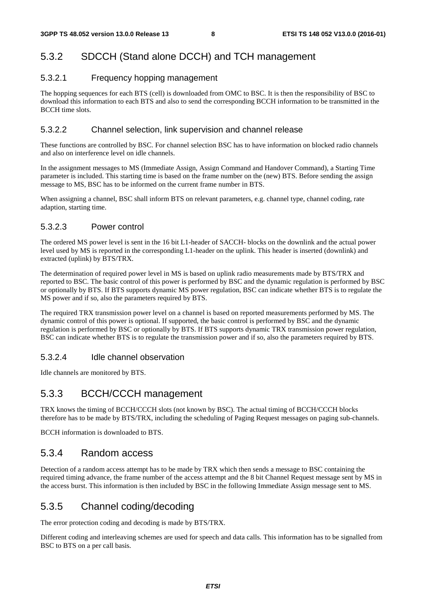#### 5.3.2 SDCCH (Stand alone DCCH) and TCH management

#### 5.3.2.1 Frequency hopping management

The hopping sequences for each BTS (cell) is downloaded from OMC to BSC. It is then the responsibility of BSC to download this information to each BTS and also to send the corresponding BCCH information to be transmitted in the BCCH time slots.

#### 5.3.2.2 Channel selection, link supervision and channel release

These functions are controlled by BSC. For channel selection BSC has to have information on blocked radio channels and also on interference level on idle channels.

In the assignment messages to MS (Immediate Assign, Assign Command and Handover Command), a Starting Time parameter is included. This starting time is based on the frame number on the (new) BTS. Before sending the assign message to MS, BSC has to be informed on the current frame number in BTS.

When assigning a channel, BSC shall inform BTS on relevant parameters, e.g. channel type, channel coding, rate adaption, starting time.

#### 5.3.2.3 Power control

The ordered MS power level is sent in the 16 bit L1-header of SACCH- blocks on the downlink and the actual power level used by MS is reported in the corresponding L1-header on the uplink. This header is inserted (downlink) and extracted (uplink) by BTS/TRX.

The determination of required power level in MS is based on uplink radio measurements made by BTS/TRX and reported to BSC. The basic control of this power is performed by BSC and the dynamic regulation is performed by BSC or optionally by BTS. If BTS supports dynamic MS power regulation, BSC can indicate whether BTS is to regulate the MS power and if so, also the parameters required by BTS.

The required TRX transmission power level on a channel is based on reported measurements performed by MS. The dynamic control of this power is optional. If supported, the basic control is performed by BSC and the dynamic regulation is performed by BSC or optionally by BTS. If BTS supports dynamic TRX transmission power regulation, BSC can indicate whether BTS is to regulate the transmission power and if so, also the parameters required by BTS.

#### 5.3.2.4 Idle channel observation

Idle channels are monitored by BTS.

#### 5.3.3 BCCH/CCCH management

TRX knows the timing of BCCH/CCCH slots (not known by BSC). The actual timing of BCCH/CCCH blocks therefore has to be made by BTS/TRX, including the scheduling of Paging Request messages on paging sub-channels.

BCCH information is downloaded to BTS.

#### 5.3.4 Random access

Detection of a random access attempt has to be made by TRX which then sends a message to BSC containing the required timing advance, the frame number of the access attempt and the 8 bit Channel Request message sent by MS in the access burst. This information is then included by BSC in the following Immediate Assign message sent to MS.

#### 5.3.5 Channel coding/decoding

The error protection coding and decoding is made by BTS/TRX.

Different coding and interleaving schemes are used for speech and data calls. This information has to be signalled from BSC to BTS on a per call basis.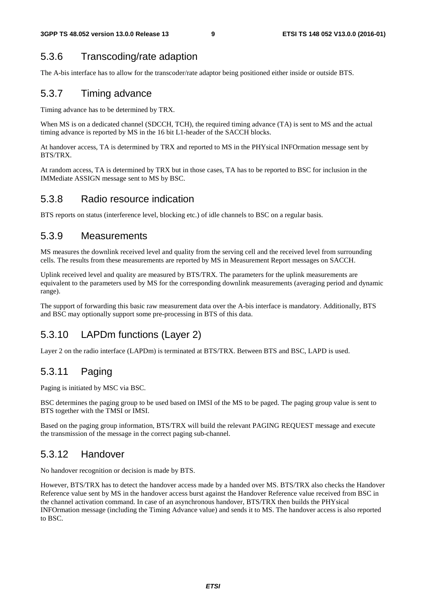#### 5.3.6 Transcoding/rate adaption

The A-bis interface has to allow for the transcoder/rate adaptor being positioned either inside or outside BTS.

#### 5.3.7 Timing advance

Timing advance has to be determined by TRX.

When MS is on a dedicated channel (SDCCH, TCH), the required timing advance (TA) is sent to MS and the actual timing advance is reported by MS in the 16 bit L1-header of the SACCH blocks.

At handover access, TA is determined by TRX and reported to MS in the PHYsical INFOrmation message sent by BTS/TRX.

At random access, TA is determined by TRX but in those cases, TA has to be reported to BSC for inclusion in the IMMediate ASSIGN message sent to MS by BSC.

#### 5.3.8 Radio resource indication

BTS reports on status (interference level, blocking etc.) of idle channels to BSC on a regular basis.

#### 5.3.9 Measurements

MS measures the downlink received level and quality from the serving cell and the received level from surrounding cells. The results from these measurements are reported by MS in Measurement Report messages on SACCH.

Uplink received level and quality are measured by BTS/TRX. The parameters for the uplink measurements are equivalent to the parameters used by MS for the corresponding downlink measurements (averaging period and dynamic range).

The support of forwarding this basic raw measurement data over the A-bis interface is mandatory. Additionally, BTS and BSC may optionally support some pre-processing in BTS of this data.

#### 5.3.10 LAPDm functions (Layer 2)

Layer 2 on the radio interface (LAPDm) is terminated at BTS/TRX. Between BTS and BSC, LAPD is used.

#### 5.3.11 Paging

Paging is initiated by MSC via BSC.

BSC determines the paging group to be used based on IMSI of the MS to be paged. The paging group value is sent to BTS together with the TMSI or IMSI.

Based on the paging group information, BTS/TRX will build the relevant PAGING REQUEST message and execute the transmission of the message in the correct paging sub-channel.

#### 5.3.12 Handover

No handover recognition or decision is made by BTS.

However, BTS/TRX has to detect the handover access made by a handed over MS. BTS/TRX also checks the Handover Reference value sent by MS in the handover access burst against the Handover Reference value received from BSC in the channel activation command. In case of an asynchronous handover, BTS/TRX then builds the PHYsical INFOrmation message (including the Timing Advance value) and sends it to MS. The handover access is also reported to BSC.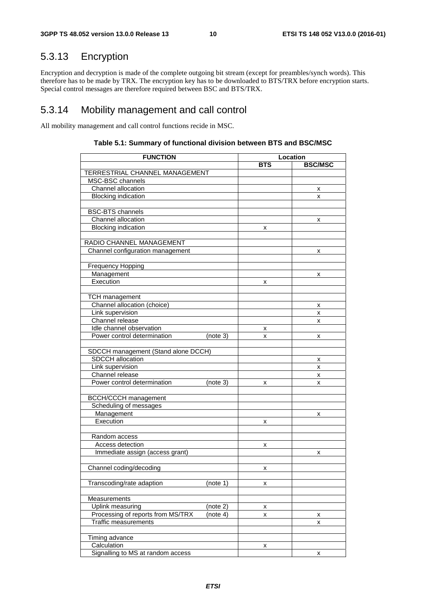### 5.3.13 Encryption

Encryption and decryption is made of the complete outgoing bit stream (except for preambles/synch words). This therefore has to be made by TRX. The encryption key has to be downloaded to BTS/TRX before encryption starts. Special control messages are therefore required between BSC and BTS/TRX.

#### 5.3.14 Mobility management and call control

All mobility management and call control functions recide in MSC.

| <b>FUNCTION</b>                               | Location   |                |  |
|-----------------------------------------------|------------|----------------|--|
|                                               | <b>BTS</b> | <b>BSC/MSC</b> |  |
| TERRESTRIAL CHANNEL MANAGEMENT                |            |                |  |
| MSC-BSC channels                              |            |                |  |
| Channel allocation                            |            | х              |  |
| <b>Blocking indication</b>                    |            | x              |  |
|                                               |            |                |  |
| <b>BSC-BTS</b> channels                       |            |                |  |
| Channel allocation                            |            | х              |  |
| <b>Blocking indication</b>                    | x          |                |  |
|                                               |            |                |  |
| RADIO CHANNEL MANAGEMENT                      |            |                |  |
| Channel configuration management              |            | x              |  |
|                                               |            |                |  |
| <b>Frequency Hopping</b>                      |            |                |  |
| Management                                    |            | x              |  |
| Execution                                     | x          |                |  |
|                                               |            |                |  |
| <b>TCH</b> management                         |            |                |  |
| Channel allocation (choice)                   |            | х              |  |
| Link supervision                              |            | x              |  |
| Channel release                               |            | x              |  |
| Idle channel observation                      | х          |                |  |
| Power control determination<br>(note 3)       | x          | x              |  |
|                                               |            |                |  |
| SDCCH management (Stand alone DCCH)           |            |                |  |
| SDCCH allocation                              |            | х              |  |
| Link supervision                              |            | x              |  |
| Channel release                               |            | x              |  |
| Power control determination<br>(note 3)       | x          | x              |  |
|                                               |            |                |  |
| <b>BCCH/CCCH</b> management                   |            |                |  |
| Scheduling of messages                        |            |                |  |
| Management                                    |            | x              |  |
| Execution                                     | х          |                |  |
|                                               |            |                |  |
| Random access                                 |            |                |  |
| Access detection                              | x          |                |  |
| Immediate assign (access grant)               |            | x              |  |
|                                               |            |                |  |
| Channel coding/decoding                       | X          |                |  |
|                                               |            |                |  |
| Transcoding/rate adaption<br>(note 1)         | x          |                |  |
|                                               |            |                |  |
| Measurements                                  |            |                |  |
| Uplink measuring<br>(note 2)                  | x          |                |  |
| Processing of reports from MS/TRX<br>(note 4) | x          | x              |  |
| <b>Traffic measurements</b>                   |            | x              |  |
|                                               |            |                |  |
| Timing advance                                |            |                |  |
| Calculation                                   | x          |                |  |
| Signalling to MS at random access             |            | x              |  |

#### **Table 5.1: Summary of functional division between BTS and BSC/MSC**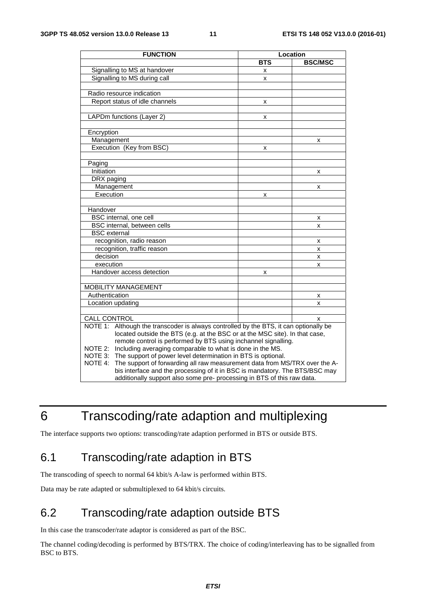| <b>FUNCTION</b>                                                                          | Location   |                |
|------------------------------------------------------------------------------------------|------------|----------------|
|                                                                                          | <b>BTS</b> | <b>BSC/MSC</b> |
| Signalling to MS at handover                                                             | x          |                |
| Signalling to MS during call                                                             | X          |                |
|                                                                                          |            |                |
| Radio resource indication                                                                |            |                |
| Report status of idle channels                                                           | x          |                |
|                                                                                          |            |                |
| LAPDm functions (Layer 2)                                                                | x          |                |
|                                                                                          |            |                |
| Encryption                                                                               |            |                |
| Management                                                                               |            | x              |
| Execution (Key from BSC)                                                                 | x          |                |
|                                                                                          |            |                |
| Paging                                                                                   |            |                |
| Initiation                                                                               |            | x              |
| DRX paging                                                                               |            |                |
| Management                                                                               |            | x              |
| Execution                                                                                | x          |                |
|                                                                                          |            |                |
| Handover                                                                                 |            |                |
| BSC internal, one cell                                                                   |            | x              |
| BSC internal, between cells                                                              |            | x              |
| <b>BSC</b> external                                                                      |            |                |
| recognition, radio reason                                                                |            | x              |
| recognition, traffic reason                                                              |            | x              |
| decision                                                                                 |            | x              |
| execution                                                                                |            | x              |
| Handover access detection                                                                | x          |                |
|                                                                                          |            |                |
| <b>MOBILITY MANAGEMENT</b>                                                               |            |                |
| Authentication                                                                           |            | x              |
| Location updating                                                                        |            | x              |
|                                                                                          |            |                |
| <b>CALL CONTROL</b>                                                                      |            | X              |
| Although the transcoder is always controlled by the BTS, it can optionally be<br>NOTE 1: |            |                |
| located outside the BTS (e.g. at the BSC or at the MSC site). In that case,              |            |                |
| remote control is performed by BTS using inchannel signalling.                           |            |                |
| Including averaging comparable to what is done in the MS.<br>NOTE 2:                     |            |                |
| The support of power level determination in BTS is optional.<br>NOTE 3:                  |            |                |
| The support of forwarding all raw measurement data from MS/TRX over the A-<br>NOTE 4:    |            |                |
| bis interface and the processing of it in BSC is mandatory. The BTS/BSC may              |            |                |
| additionally support also some pre- processing in BTS of this raw data.                  |            |                |

### 6 Transcoding/rate adaption and multiplexing

The interface supports two options: transcoding/rate adaption performed in BTS or outside BTS.

### 6.1 Transcoding/rate adaption in BTS

The transcoding of speech to normal 64 kbit/s A-law is performed within BTS.

Data may be rate adapted or submultiplexed to 64 kbit/s circuits.

### 6.2 Transcoding/rate adaption outside BTS

In this case the transcoder/rate adaptor is considered as part of the BSC.

The channel coding/decoding is performed by BTS/TRX. The choice of coding/interleaving has to be signalled from BSC to BTS.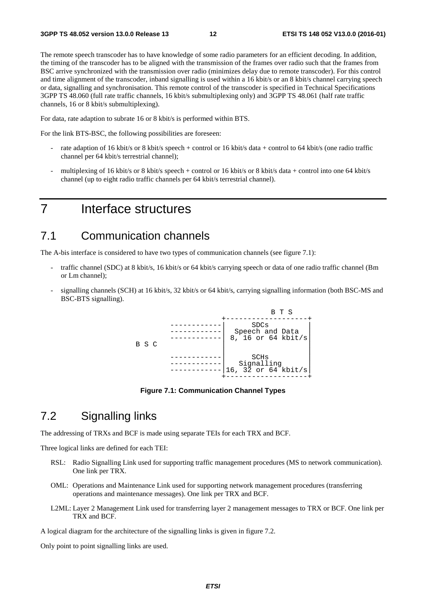The remote speech transcoder has to have knowledge of some radio parameters for an efficient decoding. In addition, the timing of the transcoder has to be aligned with the transmission of the frames over radio such that the frames from BSC arrive synchronized with the transmission over radio (minimizes delay due to remote transcoder). For this control and time alignment of the transcoder, inband signalling is used within a 16 kbit/s or an 8 kbit/s channel carrying speech or data, signalling and synchronisation. This remote control of the transcoder is specified in Technical Specifications 3GPP TS 48.060 (full rate traffic channels, 16 kbit/s submultiplexing only) and 3GPP TS 48.061 (half rate traffic channels, 16 or 8 kbit/s submultiplexing).

For data, rate adaption to subrate 16 or 8 kbit/s is performed within BTS.

For the link BTS-BSC, the following possibilities are foreseen:

- rate adaption of 16 kbit/s or 8 kbit/s speech + control or 16 kbit/s data + control to 64 kbit/s (one radio traffic channel per 64 kbit/s terrestrial channel);
- multiplexing of 16 kbit/s or 8 kbit/s speech + control or 16 kbit/s or 8 kbit/s data + control into one 64 kbit/s channel (up to eight radio traffic channels per 64 kbit/s terrestrial channel).

### 7 Interface structures

#### 7.1 Communication channels

The A-bis interface is considered to have two types of communication channels (see figure 7.1):

- traffic channel (SDC) at 8 kbit/s, 16 kbit/s or 64 kbit/s carrying speech or data of one radio traffic channel (Bm or Lm channel);
- signalling channels (SCH) at 16 kbit/s, 32 kbit/s or 64 kbit/s, carrying signalling information (both BSC-MS and BSC-BTS signalling).



**Figure 7.1: Communication Channel Types** 

#### 7.2 Signalling links

The addressing of TRXs and BCF is made using separate TEIs for each TRX and BCF.

Three logical links are defined for each TEI:

- RSL: Radio Signalling Link used for supporting traffic management procedures (MS to network communication). One link per TRX.
- OML: Operations and Maintenance Link used for supporting network management procedures (transferring operations and maintenance messages). One link per TRX and BCF.
- L2ML: Layer 2 Management Link used for transferring layer 2 management messages to TRX or BCF. One link per TRX and BCF.

A logical diagram for the architecture of the signalling links is given in figure 7.2.

Only point to point signalling links are used.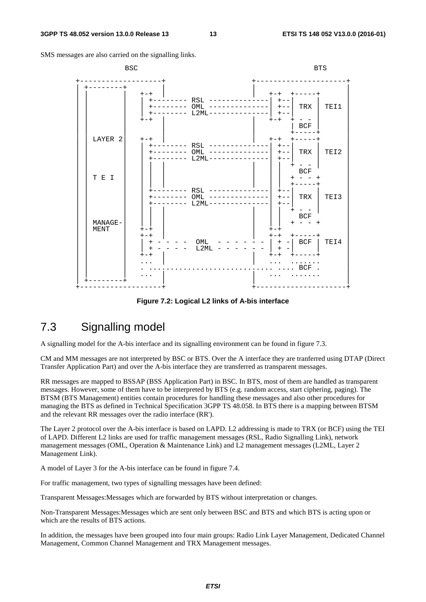SMS messages are also carried on the signalling links.



**Figure 7.2: Logical L2 links of A-bis interface** 

### 7.3 Signalling model

A signalling model for the A-bis interface and its signalling environment can be found in figure 7.3.

CM and MM messages are not interpreted by BSC or BTS. Over the A interface they are tranferred using DTAP (Direct Transfer Application Part) and over the A-bis interface they are transferred as transparent messages.

RR messages are mapped to BSSAP (BSS Application Part) in BSC. In BTS, most of them are handled as transparent messages. However, some of them have to be interpreted by BTS (e.g. random access, start ciphering, paging). The BTSM (BTS Management) entities contain procedures for handling these messages and also other procedures for managing the BTS as defined in Technical Specification 3GPP TS 48.058. In BTS there is a mapping between BTSM and the relevant RR messages over the radio interface (RR').

The Layer 2 protocol over the A-bis interface is based on LAPD. L2 addressing is made to TRX (or BCF) using the TEI of LAPD. Different L2 links are used for traffic management messages (RSL, Radio Signalling Link), network management messages (OML, Operation & Maintenance Link) and L2 management messages (L2ML, Layer 2 Management Link).

A model of Layer 3 for the A-bis interface can be found in figure 7.4.

For traffic management, two types of signalling messages have been defined:

Transparent Messages:Messages which are forwarded by BTS without interpretation or changes.

Non-Transparent Messages:Messages which are sent only between BSC and BTS and which BTS is acting upon or which are the results of BTS actions.

In addition, the messages have been grouped into four main groups: Radio Link Layer Management, Dedicated Channel Management, Common Channel Management and TRX Management messages.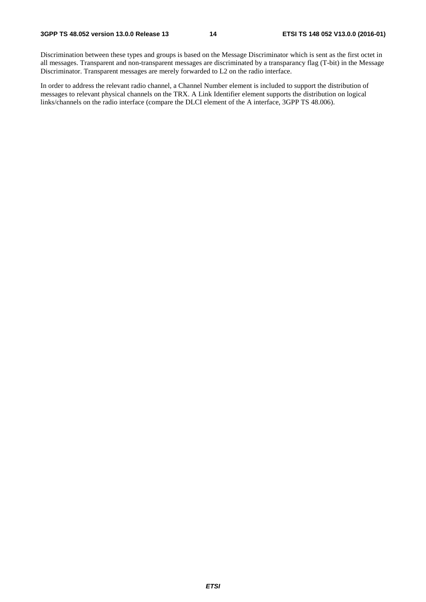Discrimination between these types and groups is based on the Message Discriminator which is sent as the first octet in all messages. Transparent and non-transparent messages are discriminated by a transparancy flag (T-bit) in the Message Discriminator. Transparent messages are merely forwarded to L2 on the radio interface.

In order to address the relevant radio channel, a Channel Number element is included to support the distribution of messages to relevant physical channels on the TRX. A Link Identifier element supports the distribution on logical links/channels on the radio interface (compare the DLCI element of the A interface, 3GPP TS 48.006).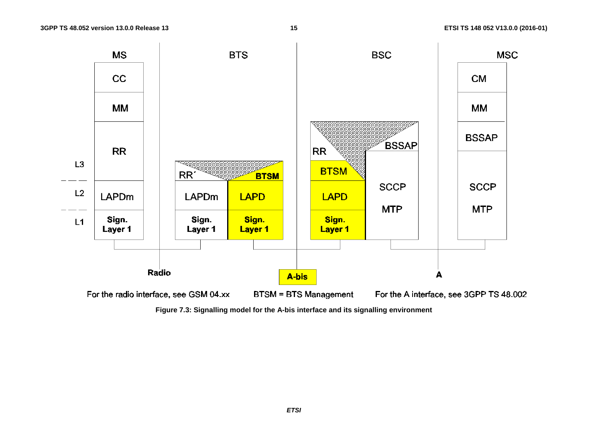

**Figure 7.3: Signalling model for the A-bis interface and its signalling environment**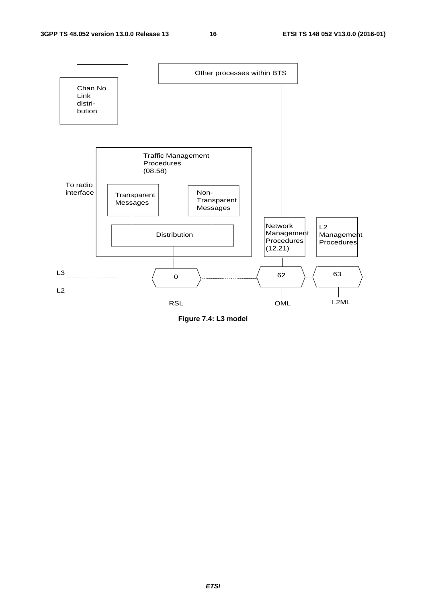

**Figure 7.4: L3 model**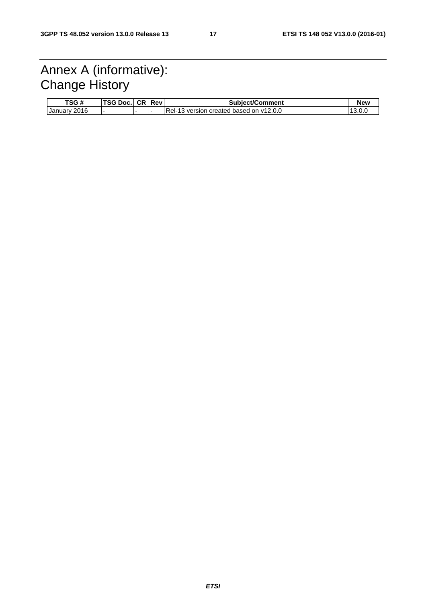### Annex A (informative): Change History

| TSG#                   | TSG Doc. | I CR IRev | <b>Subject/Comment</b>                  | <b>New</b> |
|------------------------|----------|-----------|-----------------------------------------|------------|
| 2016<br><b>January</b> |          |           | Rel-13 version created based on y12.0.0 | 13.0.0     |